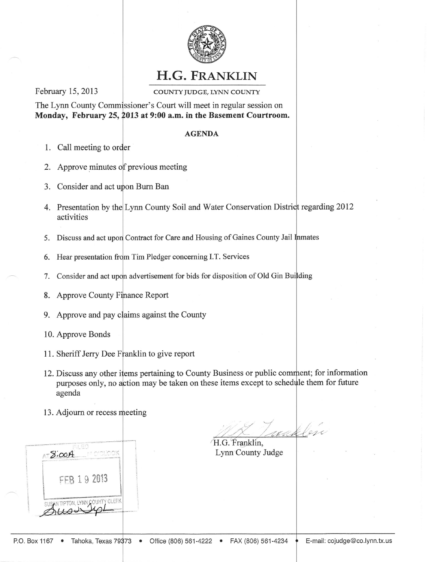

## H.G. FRANKLIN

February 15,2013

COUNTY JUDGE, LYNN COUNTY

The Lynn County Commissioner's Court will meet in regular session on Monday, February 25, 2013 at 9:00 a.m. in the Basement Courtroom.

## **AGENDA**

- 1. Call meeting to
- 2. Approve minutes of previous meeting
- 3. Consider and act upon Burn Ban
- 4. Presentation by the Lynn County Soil and Water Conservation District regarding 2012 activities
- 5. Discuss and act upon Contract for Care and Housing of Gaines County Jail
- 6. Hear presentation Tim Pledger concerning LT. Services
- 7. Consider and act upon advertisement for bids for disposition of Old Gin
- 8. Approve County Finance Report
- 9. Approve and pay claims against the County
- 10. Approve Bonds
- 11. Sheriff Jerry Dee Franklin to give report
- 12. Discuss any other items pertaining to County Business or public comment; for information purposes only, no action may be taken on these items except to schedule them for future agenda
- 13. Adjourn or recess



waklen H.G. Franklin.

Lynn County Judge